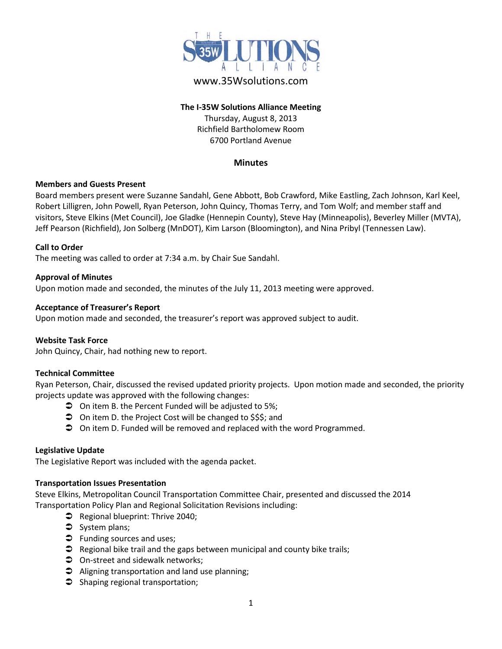

# www.35Wsolutions.com

## **The I-35W Solutions Alliance Meeting** Thursday, August 8, 2013 Richfield Bartholomew Room 6700 Portland Avenue

## **Minutes**

## **Members and Guests Present**

Board members present were Suzanne Sandahl, Gene Abbott, Bob Crawford, Mike Eastling, Zach Johnson, Karl Keel, Robert Lilligren, John Powell, Ryan Peterson, John Quincy, Thomas Terry, and Tom Wolf; and member staff and visitors, Steve Elkins (Met Council), Joe Gladke (Hennepin County), Steve Hay (Minneapolis), Beverley Miller (MVTA), Jeff Pearson (Richfield), Jon Solberg (MnDOT), Kim Larson (Bloomington), and Nina Pribyl (Tennessen Law).

#### **Call to Order**

The meeting was called to order at 7:34 a.m. by Chair Sue Sandahl.

#### **Approval of Minutes**

Upon motion made and seconded, the minutes of the July 11, 2013 meeting were approved.

#### **Acceptance of Treasurer's Report**

Upon motion made and seconded, the treasurer's report was approved subject to audit.

## **Website Task Force**

John Quincy, Chair, had nothing new to report.

#### **Technical Committee**

Ryan Peterson, Chair, discussed the revised updated priority projects. Upon motion made and seconded, the priority projects update was approved with the following changes:

- On item B. the Percent Funded will be adjusted to 5%;
- **◯** On item D. the Project Cost will be changed to \$\$\$; and
- **◯** On item D. Funded will be removed and replaced with the word Programmed.

#### **Legislative Update**

The Legislative Report was included with the agenda packet.

#### **Transportation Issues Presentation**

Steve Elkins, Metropolitan Council Transportation Committee Chair, presented and discussed the 2014 Transportation Policy Plan and Regional Solicitation Revisions including:

- $\bullet$  Regional blueprint: Thrive 2040;
- System plans;
- **D** Funding sources and uses;
- $\supset$  Regional bike trail and the gaps between municipal and county bike trails;
- $\supset$  On-street and sidewalk networks;
- $\supset$  Aligning transportation and land use planning;
- $\supset$  Shaping regional transportation;